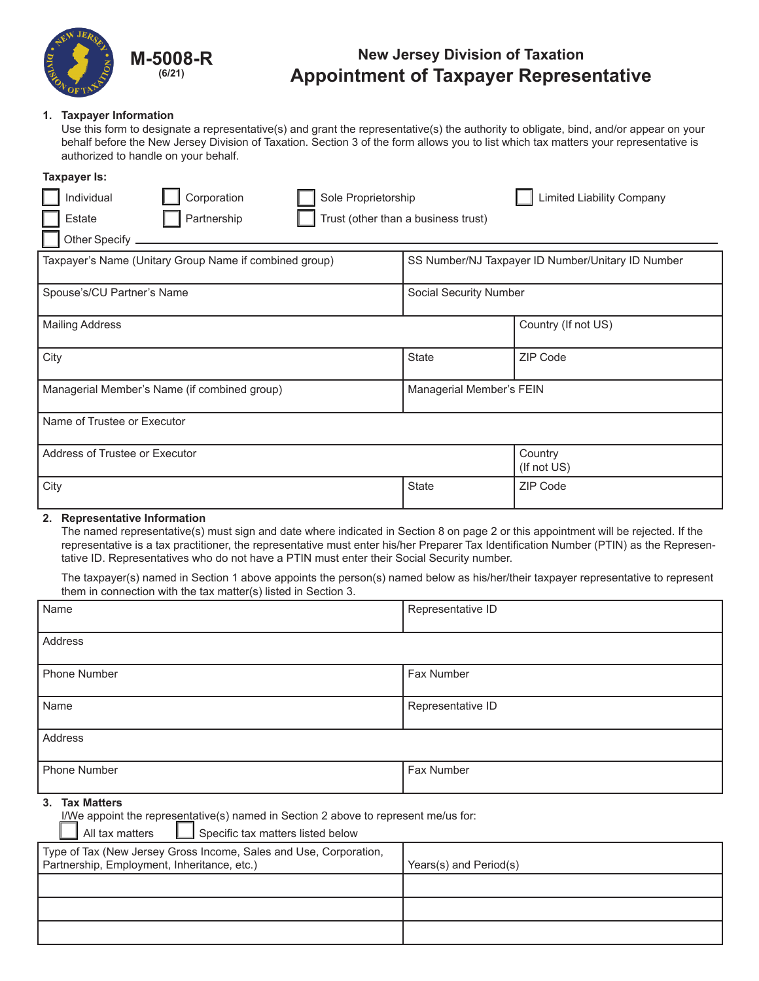

# **New Jersey Division of Taxation Appointment of Taxpayer Representative**

#### **1. Taxpayer Information**

**(6/21)**

Use this form to designate a representative(s) and grant the representative(s) the authority to obligate, bind, and/or appear on your behalf before the New Jersey Division of Taxation. Section 3 of the form allows you to list which tax matters your representative is authorized to handle on your behalf.

| Taxpayer Is:                                                                                                                                                                  |                                     |                                                   |  |  |  |  |
|-------------------------------------------------------------------------------------------------------------------------------------------------------------------------------|-------------------------------------|---------------------------------------------------|--|--|--|--|
| Individual<br>Corporation<br>Sole Proprietorship                                                                                                                              |                                     | <b>Limited Liability Company</b>                  |  |  |  |  |
| Estate<br>Partnership                                                                                                                                                         | Trust (other than a business trust) |                                                   |  |  |  |  |
| Other Specify                                                                                                                                                                 |                                     |                                                   |  |  |  |  |
| Taxpayer's Name (Unitary Group Name if combined group)                                                                                                                        |                                     | SS Number/NJ Taxpayer ID Number/Unitary ID Number |  |  |  |  |
| Spouse's/CU Partner's Name                                                                                                                                                    |                                     | Social Security Number                            |  |  |  |  |
| <b>Mailing Address</b>                                                                                                                                                        |                                     | Country (If not US)                               |  |  |  |  |
| City                                                                                                                                                                          | <b>State</b>                        | ZIP Code                                          |  |  |  |  |
| Managerial Member's Name (if combined group)<br>Managerial Member's FEIN                                                                                                      |                                     |                                                   |  |  |  |  |
| Name of Trustee or Executor                                                                                                                                                   |                                     |                                                   |  |  |  |  |
| Address of Trustee or Executor                                                                                                                                                |                                     | Country<br>(If not US)                            |  |  |  |  |
| City                                                                                                                                                                          | <b>State</b>                        | ZIP Code                                          |  |  |  |  |
| <b>Representative Information</b><br>2.<br>The named representative(s) must sign and date where indicated in Section 8 on page 2 or this appointment will be rejected. If the |                                     |                                                   |  |  |  |  |

The named representative(s) must sign and date where indicated in Section 8 on page 2 or this appointment will be rejected. If the representative is a tax practitioner, the representative must enter his/her Preparer Tax Identification Number (PTIN) as the Representative ID. Representatives who do not have a PTIN must enter their Social Security number.

The taxpayer(s) named in Section 1 above appoints the person(s) named below as his/her/their taxpayer representative to represent them in connection with the tax matter(s) listed in Section 3.

| Name                                                                                                                                                                         | Representative ID      |  |  |  |
|------------------------------------------------------------------------------------------------------------------------------------------------------------------------------|------------------------|--|--|--|
| <b>Address</b>                                                                                                                                                               |                        |  |  |  |
| <b>Phone Number</b>                                                                                                                                                          | Fax Number             |  |  |  |
| Name                                                                                                                                                                         | Representative ID      |  |  |  |
| Address                                                                                                                                                                      |                        |  |  |  |
| <b>Phone Number</b>                                                                                                                                                          | Fax Number             |  |  |  |
| <b>Tax Matters</b><br>$3_{-}$<br>I/We appoint the representative(s) named in Section 2 above to represent me/us for:<br>All tax matters<br>Specific tax matters listed below |                        |  |  |  |
| Type of Tax (New Jersey Gross Income, Sales and Use, Corporation,<br>Partnership, Employment, Inheritance, etc.)                                                             | Years(s) and Period(s) |  |  |  |
|                                                                                                                                                                              |                        |  |  |  |
|                                                                                                                                                                              |                        |  |  |  |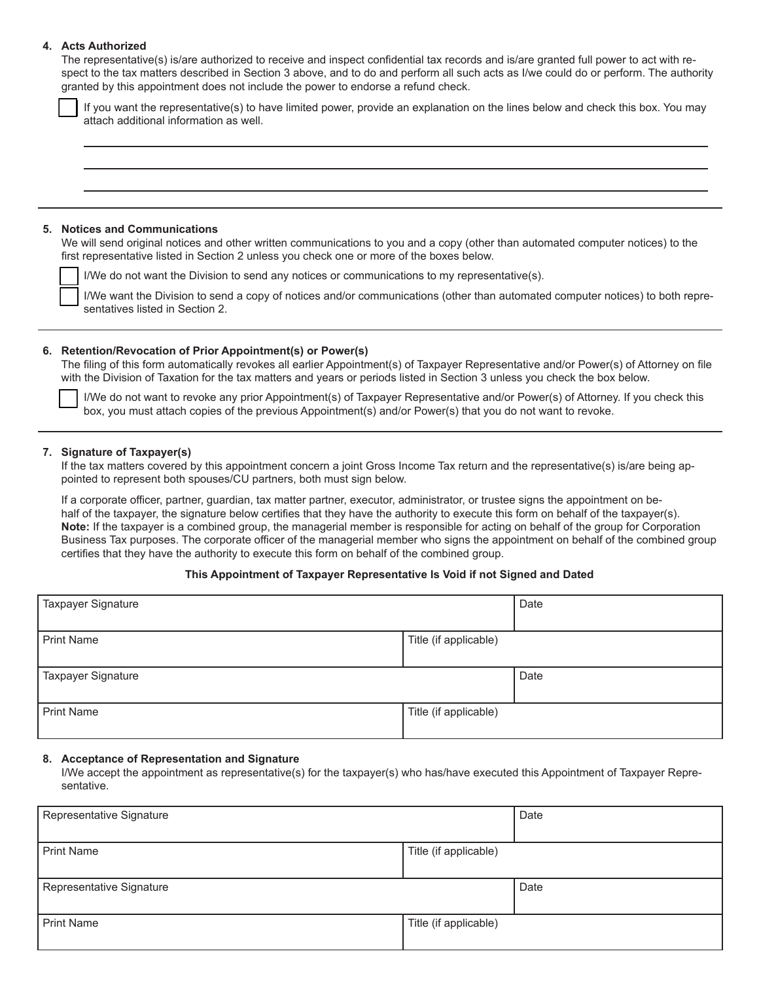| 4. Acts Authorized<br>The representative(s) is/are authorized to receive and inspect confidential tax records and is/are granted full power to act with re-<br>spect to the tax matters described in Section 3 above, and to do and perform all such acts as I/we could do or perform. The authority<br>granted by this appointment does not include the power to endorse a refund check.<br>If you want the representative(s) to have limited power, provide an explanation on the lines below and check this box. You may |  |  |  |  |  |
|-----------------------------------------------------------------------------------------------------------------------------------------------------------------------------------------------------------------------------------------------------------------------------------------------------------------------------------------------------------------------------------------------------------------------------------------------------------------------------------------------------------------------------|--|--|--|--|--|
| attach additional information as well.                                                                                                                                                                                                                                                                                                                                                                                                                                                                                      |  |  |  |  |  |
| 5. Notices and Communications<br>We will send original notices and other written communications to you and a copy (other than automated computer notices) to the<br>first representative listed in Section 2 unless you check one or more of the boxes below.                                                                                                                                                                                                                                                               |  |  |  |  |  |
| I/We do not want the Division to send any notices or communications to my representative(s).<br>I/We want the Division to send a copy of notices and/or communications (other than automated computer notices) to both repre-<br>sentatives listed in Section 2.                                                                                                                                                                                                                                                            |  |  |  |  |  |
| 6. Retention/Revocation of Prior Appointment(s) or Power(s)<br>The filing of this form automatically revokes all earlier Appointment(s) of Taxpayer Representative and/or Power(s) of Attorney on file<br>with the Division of Taxation for the tax matters and years or periods listed in Section 3 unless you check the box below.<br>I/We do not want to revoke any prior Appointment(s) of Taxpayer Representative and/or Power(s) of Attorney. If you check this                                                       |  |  |  |  |  |

#### **7. Signature of Taxpayer(s)**

If the tax matters covered by this appointment concern a joint Gross Income Tax return and the representative(s) is/are being appointed to represent both spouses/CU partners, both must sign below.

box, you must attach copies of the previous Appointment(s) and/or Power(s) that you do not want to revoke.

If a corporate officer, partner, guardian, tax matter partner, executor, administrator, or trustee signs the appointment on behalf of the taxpayer, the signature below certifies that they have the authority to execute this form on behalf of the taxpayer(s). **Note:** If the taxpayer is a combined group, the managerial member is responsible for acting on behalf of the group for Corporation Business Tax purposes. The corporate officer of the managerial member who signs the appointment on behalf of the combined group certifies that they have the authority to execute this form on behalf of the combined group.

#### **This Appointment of Taxpayer Representative Is Void if not Signed and Dated**

| Taxpayer Signature |                       | Date |
|--------------------|-----------------------|------|
|                    |                       |      |
| <b>Print Name</b>  | Title (if applicable) |      |
| Taxpayer Signature |                       | Date |
|                    |                       |      |
| <b>Print Name</b>  | Title (if applicable) |      |
|                    |                       |      |

#### **8. Acceptance of Representation and Signature**

I/We accept the appointment as representative(s) for the taxpayer(s) who has/have executed this Appointment of Taxpayer Representative.

| Representative Signature |                       | Date |
|--------------------------|-----------------------|------|
| <b>Print Name</b>        | Title (if applicable) |      |
| Representative Signature |                       | Date |
| <b>Print Name</b>        | Title (if applicable) |      |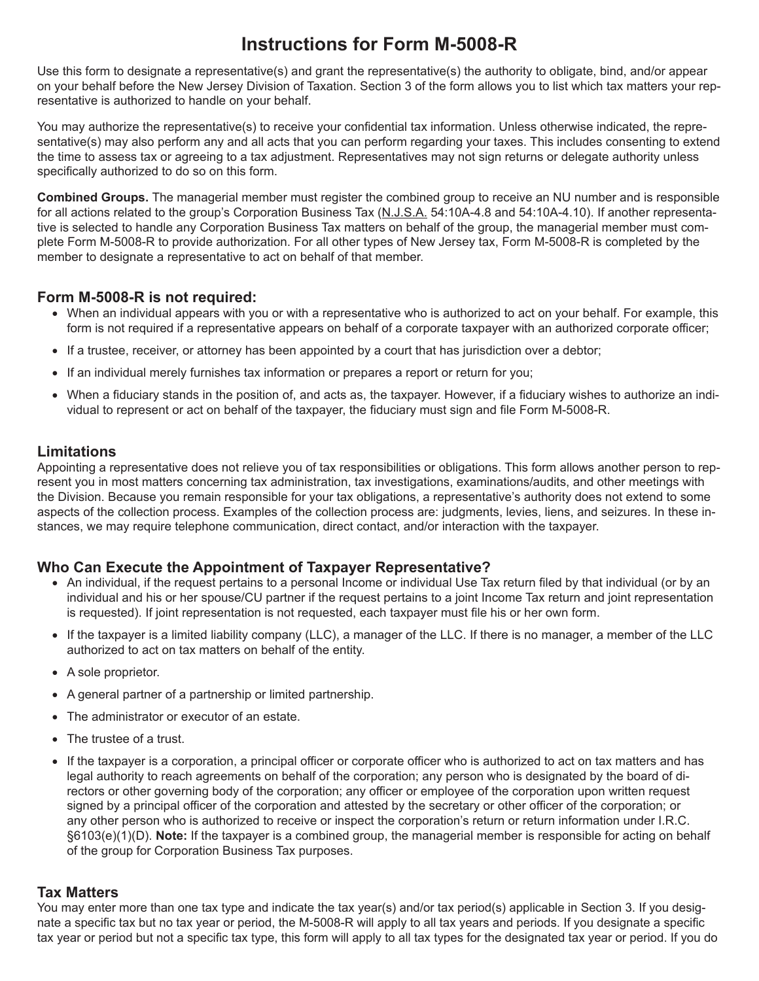# **Instructions for Form M-5008-R**

Use this form to designate a representative(s) and grant the representative(s) the authority to obligate, bind, and/or appear on your behalf before the New Jersey Division of Taxation. Section 3 of the form allows you to list which tax matters your representative is authorized to handle on your behalf.

You may authorize the representative(s) to receive your confidential tax information. Unless otherwise indicated, the representative(s) may also perform any and all acts that you can perform regarding your taxes. This includes consenting to extend the time to assess tax or agreeing to a tax adjustment. Representatives may not sign returns or delegate authority unless specifically authorized to do so on this form.

**Combined Groups.** The managerial member must register the combined group to receive an NU number and is responsible for all actions related to the group's Corporation Business Tax (N.J.S.A. 54:10A-4.8 and 54:10A-4.10). If another representative is selected to handle any Corporation Business Tax matters on behalf of the group, the managerial member must complete Form M-5008-R to provide authorization. For all other types of New Jersey tax, Form M-5008-R is completed by the member to designate a representative to act on behalf of that member.

### **Form M-5008-R is not required:**

- When an individual appears with you or with a representative who is authorized to act on your behalf. For example, this form is not required if a representative appears on behalf of a corporate taxpayer with an authorized corporate officer;
- If a trustee, receiver, or attorney has been appointed by a court that has jurisdiction over a debtor;
- If an individual merely furnishes tax information or prepares a report or return for you;
- When a fiduciary stands in the position of, and acts as, the taxpayer. However, if a fiduciary wishes to authorize an individual to represent or act on behalf of the taxpayer, the fiduciary must sign and file Form M-5008-R.

## **Limitations**

Appointing a representative does not relieve you of tax responsibilities or obligations. This form allows another person to represent you in most matters concerning tax administration, tax investigations, examinations/audits, and other meetings with the Division. Because you remain responsible for your tax obligations, a representative's authority does not extend to some aspects of the collection process. Examples of the collection process are: judgments, levies, liens, and seizures. In these instances, we may require telephone communication, direct contact, and/or interaction with the taxpayer.

# **Who Can Execute the Appointment of Taxpayer Representative?**

- An individual, if the request pertains to a personal Income or individual Use Tax return filed by that individual (or by an individual and his or her spouse/CU partner if the request pertains to a joint Income Tax return and joint representation is requested). If joint representation is not requested, each taxpayer must file his or her own form.
- If the taxpayer is a limited liability company (LLC), a manager of the LLC. If there is no manager, a member of the LLC authorized to act on tax matters on behalf of the entity.
- A sole proprietor.
- A general partner of a partnership or limited partnership.
- The administrator or executor of an estate.
- The trustee of a trust.
- If the taxpayer is a corporation, a principal officer or corporate officer who is authorized to act on tax matters and has legal authority to reach agreements on behalf of the corporation; any person who is designated by the board of directors or other governing body of the corporation; any officer or employee of the corporation upon written request signed by a principal officer of the corporation and attested by the secretary or other officer of the corporation; or any other person who is authorized to receive or inspect the corporation's return or return information under I.R.C. §6103(e)(1)(D). **Note:** If the taxpayer is a combined group, the managerial member is responsible for acting on behalf of the group for Corporation Business Tax purposes.

### **Tax Matters**

You may enter more than one tax type and indicate the tax year(s) and/or tax period(s) applicable in Section 3. If you designate a specific tax but no tax year or period, the M-5008-R will apply to all tax years and periods. If you designate a specific tax year or period but not a specific tax type, this form will apply to all tax types for the designated tax year or period. If you do